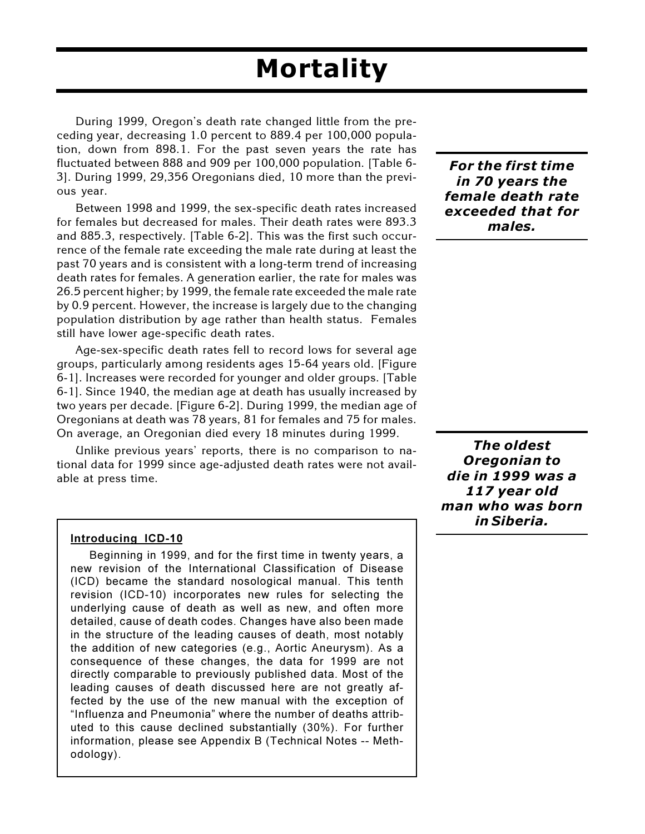# **Mortality**

During 1999, Oregon's death rate changed little from the preceding year, decreasing 1.0 percent to 889.4 per 100,000 population, down from 898.1. For the past seven years the rate has fluctuated between 888 and 909 per 100,000 population. [Table 6- 3]. During 1999, 29,356 Oregonians died, 10 more than the previous year.

Between 1998 and 1999, the sex-specific death rates increased for females but decreased for males. Their death rates were 893.3 and 885.3, respectively. [Table 6-2]. This was the first such occurrence of the female rate exceeding the male rate during at least the past 70 years and is consistent with a long-term trend of increasing death rates for females. A generation earlier, the rate for males was 26.5 percent higher; by 1999, the female rate exceeded the male rate by 0.9 percent. However, the increase is largely due to the changing population distribution by age rather than health status. Females still have lower age-specific death rates.

Age-sex-specific death rates fell to record lows for several age groups, particularly among residents ages 15-64 years old. [Figure 6-1]. Increases were recorded for younger and older groups. [Table 6-1]. Since 1940, the median age at death has usually increased by two years per decade. [Figure 6-2]. During 1999, the median age of Oregonians at death was 78 years, 81 for females and 75 for males. On average, an Oregonian died every 18 minutes during 1999.

Unlike previous years' reports, there is no comparison to national data for 1999 since age-adjusted death rates were not available at press time.

#### **Introducing ICD-10**

Beginning in 1999, and for the first time in twenty years, a new revision of the International Classification of Disease (ICD) became the standard nosological manual. This tenth revision (ICD-10) incorporates new rules for selecting the underlying cause of death as well as new, and often more detailed, cause of death codes. Changes have also been made in the structure of the leading causes of death, most notably the addition of new categories (e.g., Aortic Aneurysm). As a consequence of these changes, the data for 1999 are not directly comparable to previously published data. Most of the leading causes of death discussed here are not greatly affected by the use of the new manual with the exception of "Influenza and Pneumonia" where the number of deaths attributed to this cause declined substantially (30%). For further information, please see Appendix B (Technical Notes -- Methodology).

*For the first time in 70 years the female death rate exceeded that for males.*

*The oldest Oregonian to die in 1999 was a 117 year old man who was born in Siberia.*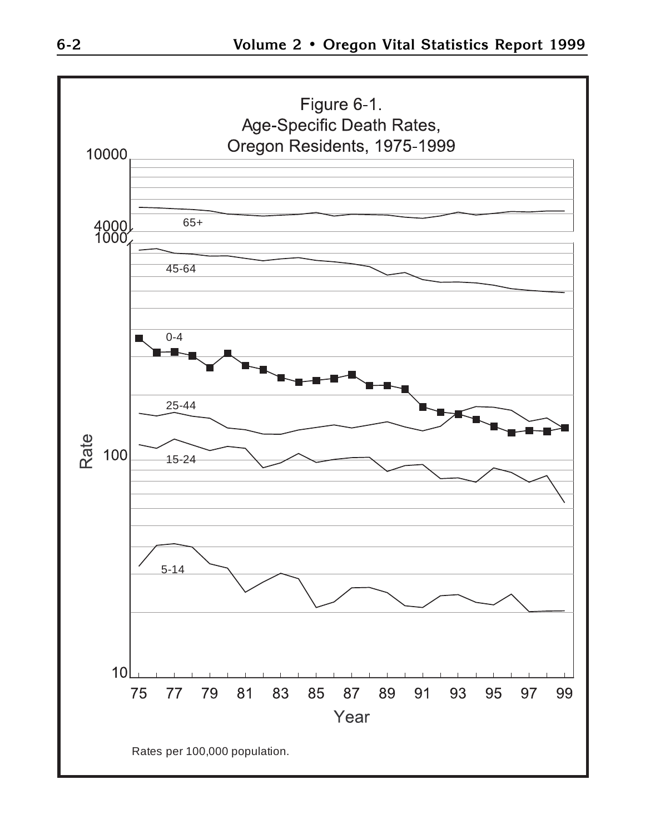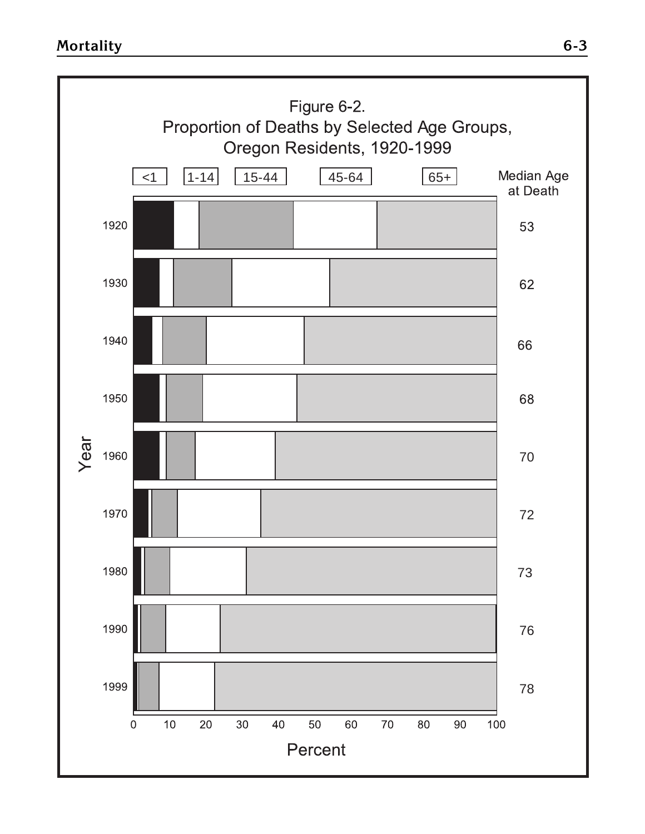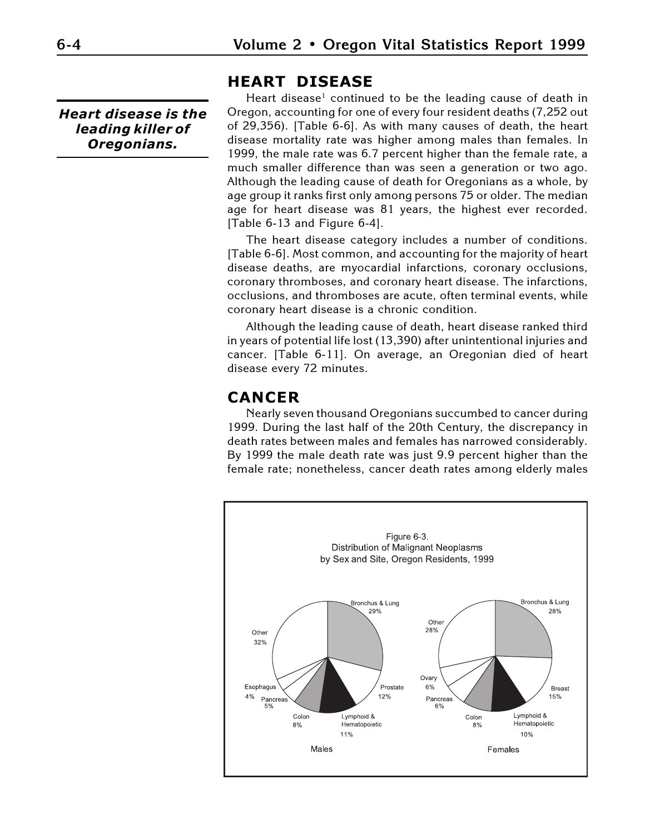*Heart disease is the leading killer of Oregonians.*

#### **HEART DISEASE**

Heart disease<sup>1</sup> continued to be the leading cause of death in Oregon, accounting for one of every four resident deaths (7,252 out of 29,356). [Table 6-6]. As with many causes of death, the heart disease mortality rate was higher among males than females. In 1999, the male rate was 6.7 percent higher than the female rate, a much smaller difference than was seen a generation or two ago. Although the leading cause of death for Oregonians as a whole, by age group it ranks first only among persons 75 or older. The median age for heart disease was 81 years, the highest ever recorded. [Table 6-13 and Figure 6-4].

The heart disease category includes a number of conditions. [Table 6-6]. Most common, and accounting for the majority of heart disease deaths, are myocardial infarctions, coronary occlusions, coronary thromboses, and coronary heart disease. The infarctions, occlusions, and thromboses are acute, often terminal events, while coronary heart disease is a chronic condition.

Although the leading cause of death, heart disease ranked third in years of potential life lost (13,390) after unintentional injuries and cancer. [Table 6-11]. On average, an Oregonian died of heart disease every 72 minutes.

### **CANCER**

Nearly seven thousand Oregonians succumbed to cancer during 1999. During the last half of the 20th Century, the discrepancy in death rates between males and females has narrowed considerably. By 1999 the male death rate was just 9.9 percent higher than the female rate; nonetheless, cancer death rates among elderly males

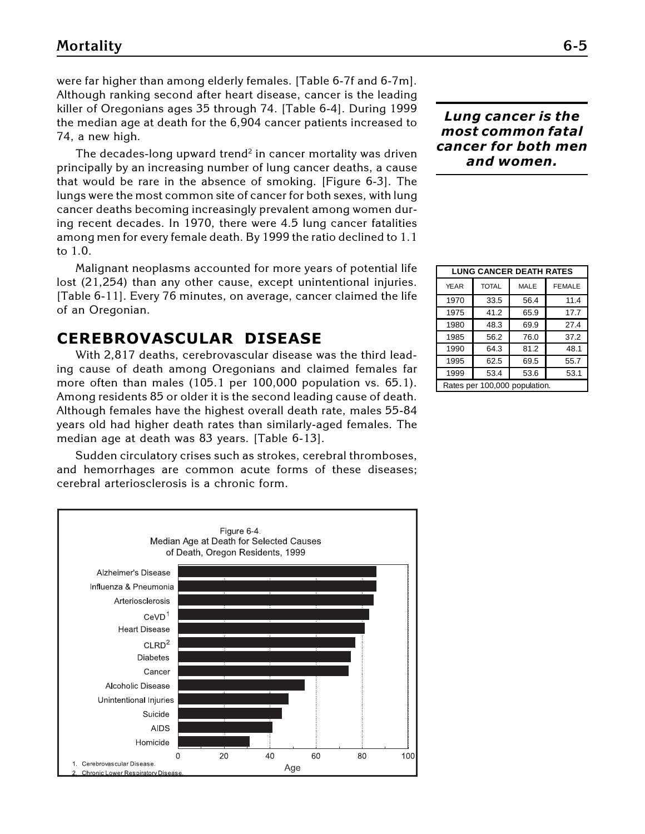were far higher than among elderly females. [Table 6-7f and 6-7m]. Although ranking second after heart disease, cancer is the leading killer of Oregonians ages 35 through 74. [Table 6-4]. During 1999 the median age at death for the 6,904 cancer patients increased to 74, a new high.

The decades-long upward trend<sup>2</sup> in cancer mortality was driven principally by an increasing number of lung cancer deaths, a cause that would be rare in the absence of smoking. [Figure 6-3]. The lungs were the most common site of cancer for both sexes, with lung cancer deaths becoming increasingly prevalent among women during recent decades. In 1970, there were 4.5 lung cancer fatalities among men for every female death. By 1999 the ratio declined to 1.1 to 1.0.

Malignant neoplasms accounted for more years of potential life lost (21,254) than any other cause, except unintentional injuries. [Table 6-11]. Every 76 minutes, on average, cancer claimed the life of an Oregonian.

### **CEREBROVASCULAR DISEASE**

With 2,817 deaths, cerebrovascular disease was the third leading cause of death among Oregonians and claimed females far more often than males (105.1 per 100,000 population vs. 65.1). Among residents 85 or older it is the second leading cause of death. Although females have the highest overall death rate, males 55-84 years old had higher death rates than similarly-aged females. The median age at death was 83 years. [Table 6-13].

Sudden circulatory crises such as strokes, cerebral thromboses, and hemorrhages are common acute forms of these diseases; cerebral arteriosclerosis is a chronic form.



#### *Lung cancer is the most common fatal cancer for both men and women.*

| <b>LUNG CANCER DEATH RATES</b> |              |             |               |
|--------------------------------|--------------|-------------|---------------|
| <b>YEAR</b>                    | <b>TOTAL</b> | <b>MALE</b> | <b>FEMALE</b> |
| 1970                           | 33.5         | 56.4        | 11.4          |
| 1975                           | 41.2         | 65.9        | 17.7          |
| 1980                           | 48.3         | 69.9        | 27.4          |
| 1985                           | 56.2         | 76.0        | 37.2          |
| 1990                           | 64.3         | 81.2        | 48.1          |
| 1995                           | 62.5         | 69.5        | 55.7          |
| 1999                           | 53.4         | 53.6        | 53.1          |
| Rates per 100,000 population.  |              |             |               |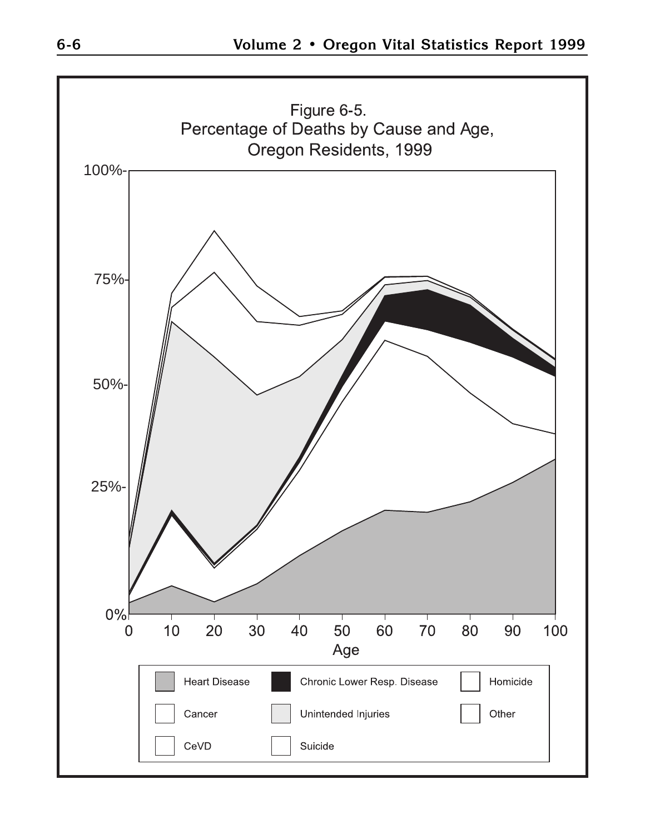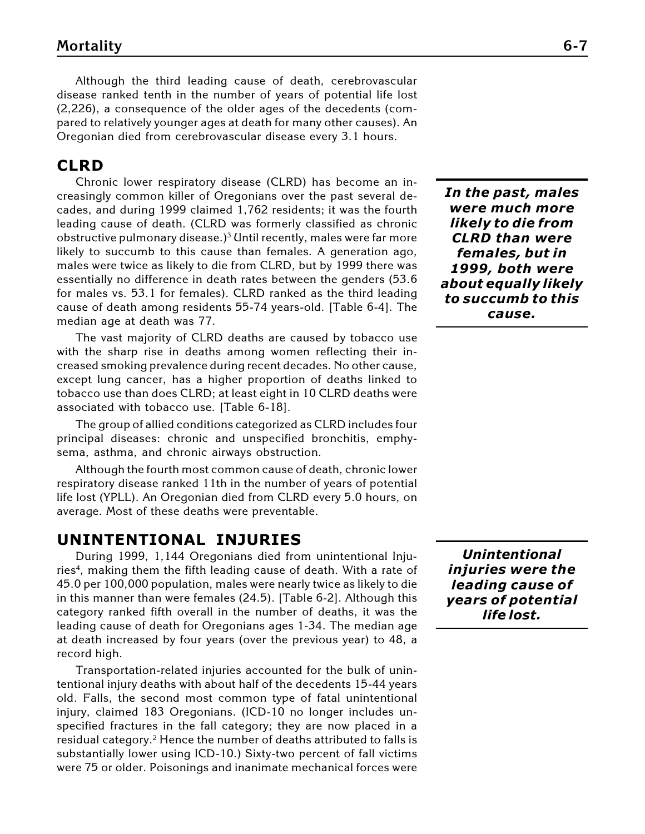Although the third leading cause of death, cerebrovascular disease ranked tenth in the number of years of potential life lost (2,226), a consequence of the older ages of the decedents (compared to relatively younger ages at death for many other causes). An Oregonian died from cerebrovascular disease every 3.1 hours.

#### **CLRD**

Chronic lower respiratory disease (CLRD) has become an increasingly common killer of Oregonians over the past several decades, and during 1999 claimed 1,762 residents; it was the fourth leading cause of death. (CLRD was formerly classified as chronic obstructive pulmonary disease.)<sup>3</sup> Until recently, males were far more likely to succumb to this cause than females. A generation ago, males were twice as likely to die from CLRD, but by 1999 there was essentially no difference in death rates between the genders (53.6 for males vs. 53.1 for females). CLRD ranked as the third leading cause of death among residents 55-74 years-old. [Table 6-4]. The median age at death was 77.

The vast majority of CLRD deaths are caused by tobacco use with the sharp rise in deaths among women reflecting their increased smoking prevalence during recent decades. No other cause, except lung cancer, has a higher proportion of deaths linked to tobacco use than does CLRD; at least eight in 10 CLRD deaths were associated with tobacco use. [Table 6-18].

The group of allied conditions categorized as CLRD includes four principal diseases: chronic and unspecified bronchitis, emphysema, asthma, and chronic airways obstruction.

Although the fourth most common cause of death, chronic lower respiratory disease ranked 11th in the number of years of potential life lost (YPLL). An Oregonian died from CLRD every 5.0 hours, on average. Most of these deaths were preventable.

#### **UNINTENTIONAL INJURIES**

During 1999, 1,144 Oregonians died from unintentional Injuries<sup>4</sup>, making them the fifth leading cause of death. With a rate of 45.0 per 100,000 population, males were nearly twice as likely to die in this manner than were females (24.5). [Table 6-2]. Although this category ranked fifth overall in the number of deaths, it was the leading cause of death for Oregonians ages 1-34. The median age at death increased by four years (over the previous year) to 48, a record high.

Transportation-related injuries accounted for the bulk of unintentional injury deaths with about half of the decedents 15-44 years old. Falls, the second most common type of fatal unintentional injury, claimed 183 Oregonians. (ICD-10 no longer includes unspecified fractures in the fall category; they are now placed in a residual category.<sup>2</sup> Hence the number of deaths attributed to falls is substantially lower using ICD-10.) Sixty-two percent of fall victims were 75 or older. Poisonings and inanimate mechanical forces were

*In the past, males were much more likely to die from CLRD than were females, but in 1999, both were about equally likely to succumb to this cause.*

*Unintentional injuries were the leading cause of years of potential life lost.*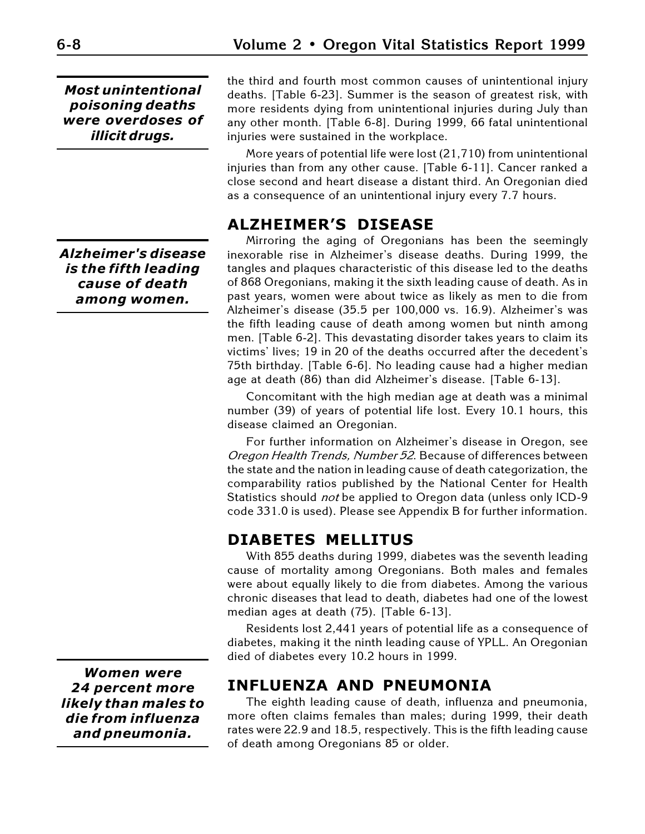*Most unintentional poisoning deaths were overdoses of illicit drugs.*

*Alzheimer's disease is the fifth leading cause of death among women.*

*Women were 24 percent more likely than males to die from influenza and pneumonia.*

the third and fourth most common causes of unintentional injury deaths. [Table 6-23]. Summer is the season of greatest risk, with more residents dying from unintentional injuries during July than any other month. [Table 6-8]. During 1999, 66 fatal unintentional injuries were sustained in the workplace.

More years of potential life were lost (21,710) from unintentional injuries than from any other cause. [Table 6-11]. Cancer ranked a close second and heart disease a distant third. An Oregonian died as a consequence of an unintentional injury every 7.7 hours.

### **ALZHEIMER'S DISEASE**

Mirroring the aging of Oregonians has been the seemingly inexorable rise in Alzheimer's disease deaths. During 1999, the tangles and plaques characteristic of this disease led to the deaths of 868 Oregonians, making it the sixth leading cause of death. As in past years, women were about twice as likely as men to die from Alzheimer's disease (35.5 per 100,000 vs. 16.9). Alzheimer's was the fifth leading cause of death among women but ninth among men. [Table 6-2]. This devastating disorder takes years to claim its victims' lives; 19 in 20 of the deaths occurred after the decedent's 75th birthday. [Table 6-6]. No leading cause had a higher median age at death (86) than did Alzheimer's disease. [Table 6-13].

Concomitant with the high median age at death was a minimal number (39) of years of potential life lost. Every 10.1 hours, this disease claimed an Oregonian.

For further information on Alzheimer's disease in Oregon, see Oregon Health Trends, Number 52. Because of differences between the state and the nation in leading cause of death categorization, the comparability ratios published by the National Center for Health Statistics should not be applied to Oregon data (unless only ICD-9 code 331.0 is used). Please see Appendix B for further information.

### **DIABETES MELLITUS**

With 855 deaths during 1999, diabetes was the seventh leading cause of mortality among Oregonians. Both males and females were about equally likely to die from diabetes. Among the various chronic diseases that lead to death, diabetes had one of the lowest median ages at death (75). [Table 6-13].

Residents lost 2,441 years of potential life as a consequence of diabetes, making it the ninth leading cause of YPLL. An Oregonian died of diabetes every 10.2 hours in 1999.

## **INFLUENZA AND PNEUMONIA**

The eighth leading cause of death, influenza and pneumonia, more often claims females than males; during 1999, their death rates were 22.9 and 18.5, respectively. This is the fifth leading cause of death among Oregonians 85 or older.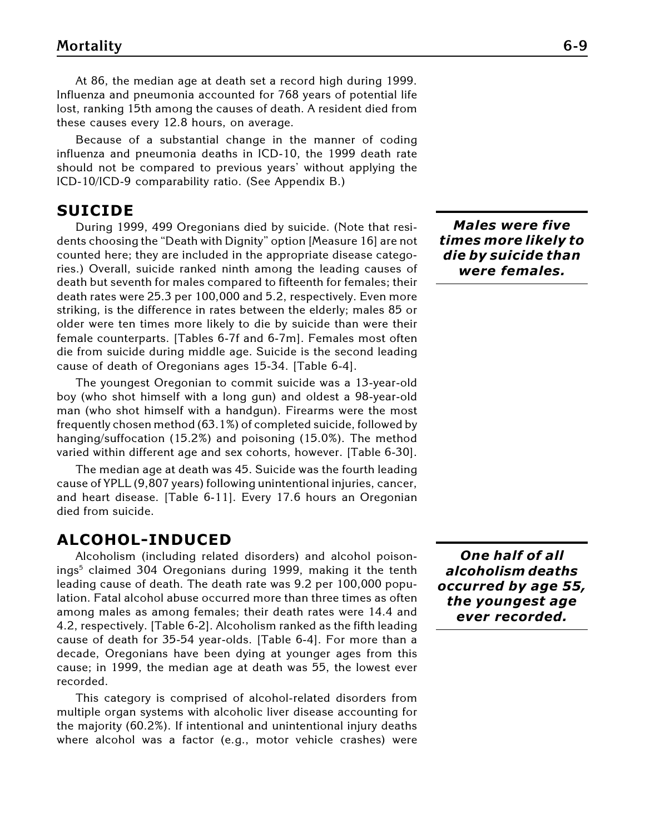At 86, the median age at death set a record high during 1999. Influenza and pneumonia accounted for 768 years of potential life lost, ranking 15th among the causes of death. A resident died from these causes every 12.8 hours, on average.

Because of a substantial change in the manner of coding influenza and pneumonia deaths in ICD-10, the 1999 death rate should not be compared to previous years' without applying the ICD-10/ICD-9 comparability ratio. (See Appendix B.)

#### **SUICIDE**

During 1999, 499 Oregonians died by suicide. (Note that residents choosing the "Death with Dignity" option [Measure 16] are not counted here; they are included in the appropriate disease categories.) Overall, suicide ranked ninth among the leading causes of death but seventh for males compared to fifteenth for females; their death rates were 25.3 per 100,000 and 5.2, respectively. Even more striking, is the difference in rates between the elderly; males 85 or older were ten times more likely to die by suicide than were their female counterparts. [Tables 6-7f and 6-7m]. Females most often die from suicide during middle age. Suicide is the second leading cause of death of Oregonians ages 15-34. [Table 6-4].

The youngest Oregonian to commit suicide was a 13-year-old boy (who shot himself with a long gun) and oldest a 98-year-old man (who shot himself with a handgun). Firearms were the most frequently chosen method (63.1%) of completed suicide, followed by hanging/suffocation (15.2%) and poisoning (15.0%). The method varied within different age and sex cohorts, however. [Table 6-30].

The median age at death was 45. Suicide was the fourth leading cause of YPLL (9,807 years) following unintentional injuries, cancer, and heart disease. [Table 6-11]. Every 17.6 hours an Oregonian died from suicide.

#### **ALCOHOL-INDUCED**

Alcoholism (including related disorders) and alcohol poisonings<sup>5</sup> claimed 304 Oregonians during 1999, making it the tenth leading cause of death. The death rate was 9.2 per 100,000 population. Fatal alcohol abuse occurred more than three times as often among males as among females; their death rates were 14.4 and 4.2, respectively. [Table 6-2]. Alcoholism ranked as the fifth leading cause of death for 35-54 year-olds. [Table 6-4]. For more than a decade, Oregonians have been dying at younger ages from this cause; in 1999, the median age at death was 55, the lowest ever recorded.

This category is comprised of alcohol-related disorders from multiple organ systems with alcoholic liver disease accounting for the majority (60.2%). If intentional and unintentional injury deaths where alcohol was a factor (e.g., motor vehicle crashes) were

*Males were five times more likely to die by suicide than were females.*

*One half of all alcoholism deaths occurred by age 55, the youngest age ever recorded.*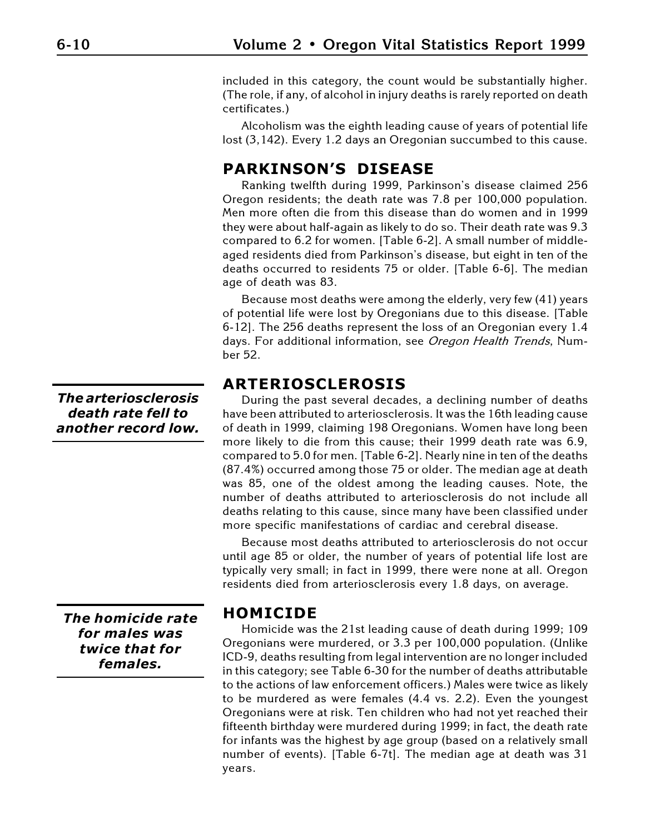included in this category, the count would be substantially higher. (The role, if any, of alcohol in injury deaths is rarely reported on death certificates.)

Alcoholism was the eighth leading cause of years of potential life lost (3,142). Every 1.2 days an Oregonian succumbed to this cause.

# **PARKINSON'S DISEASE**

Ranking twelfth during 1999, Parkinson's disease claimed 256 Oregon residents; the death rate was 7.8 per 100,000 population. Men more often die from this disease than do women and in 1999 they were about half-again as likely to do so. Their death rate was 9.3 compared to 6.2 for women. [Table 6-2]. A small number of middleaged residents died from Parkinson's disease, but eight in ten of the deaths occurred to residents 75 or older. [Table 6-6]. The median age of death was 83.

Because most deaths were among the elderly, very few (41) years of potential life were lost by Oregonians due to this disease. [Table 6-12]. The 256 deaths represent the loss of an Oregonian every 1.4 days. For additional information, see Oregon Health Trends, Number 52.

# **ARTERIOSCLEROSIS**

During the past several decades, a declining number of deaths have been attributed to arteriosclerosis. It was the 16th leading cause of death in 1999, claiming 198 Oregonians. Women have long been more likely to die from this cause; their 1999 death rate was 6.9, compared to 5.0 for men. [Table 6-2]. Nearly nine in ten of the deaths (87.4%) occurred among those 75 or older. The median age at death was 85, one of the oldest among the leading causes. Note, the number of deaths attributed to arteriosclerosis do not include all deaths relating to this cause, since many have been classified under more specific manifestations of cardiac and cerebral disease.

Because most deaths attributed to arteriosclerosis do not occur until age 85 or older, the number of years of potential life lost are typically very small; in fact in 1999, there were none at all. Oregon residents died from arteriosclerosis every 1.8 days, on average.

### **HOMICIDE**

Homicide was the 21st leading cause of death during 1999; 109 Oregonians were murdered, or 3.3 per 100,000 population. (Unlike ICD-9, deaths resulting from legal intervention are no longer included in this category; see Table 6-30 for the number of deaths attributable to the actions of law enforcement officers.) Males were twice as likely to be murdered as were females (4.4 vs. 2.2). Even the youngest Oregonians were at risk. Ten children who had not yet reached their fifteenth birthday were murdered during 1999; in fact, the death rate for infants was the highest by age group (based on a relatively small number of events). [Table 6-7t]. The median age at death was 31 years.

*The arteriosclerosis death rate fell to another record low.*

*The homicide rate for males was twice that for females.*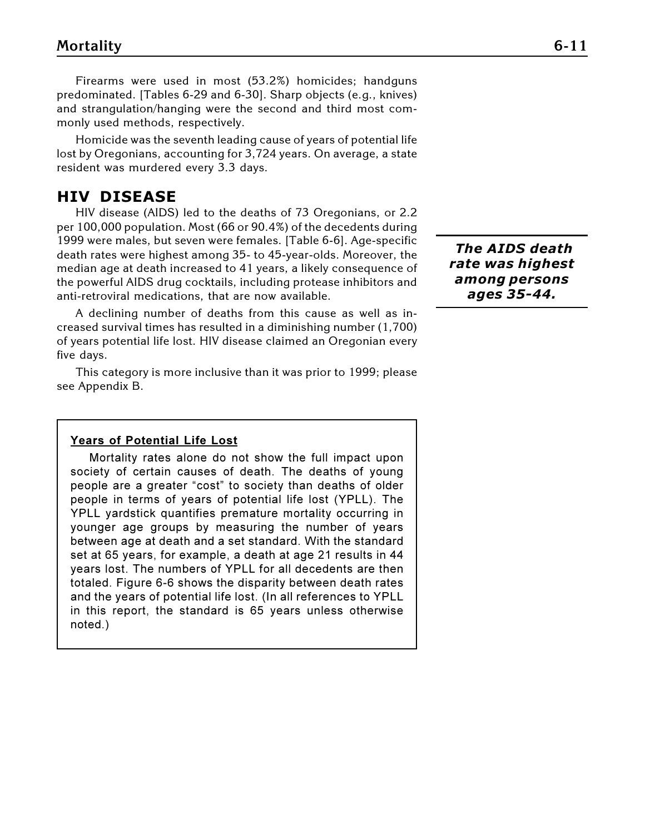Firearms were used in most (53.2%) homicides; handguns predominated. [Tables 6-29 and 6-30]. Sharp objects (e.g., knives) and strangulation/hanging were the second and third most commonly used methods, respectively.

Homicide was the seventh leading cause of years of potential life lost by Oregonians, accounting for 3,724 years. On average, a state resident was murdered every 3.3 days.

### **HIV DISEASE**

HIV disease (AIDS) led to the deaths of 73 Oregonians, or 2.2 per 100,000 population. Most (66 or 90.4%) of the decedents during 1999 were males, but seven were females. [Table 6-6]. Age-specific death rates were highest among 35- to 45-year-olds. Moreover, the median age at death increased to 41 years, a likely consequence of the powerful AIDS drug cocktails, including protease inhibitors and anti-retroviral medications, that are now available.

A declining number of deaths from this cause as well as increased survival times has resulted in a diminishing number (1,700) of years potential life lost. HIV disease claimed an Oregonian every five days.

This category is more inclusive than it was prior to 1999; please see Appendix B.

#### **Years of Potential Life Lost**

Mortality rates alone do not show the full impact upon society of certain causes of death. The deaths of young people are a greater "cost" to society than deaths of older people in terms of years of potential life lost (YPLL). The YPLL yardstick quantifies premature mortality occurring in younger age groups by measuring the number of years between age at death and a set standard. With the standard set at 65 years, for example, a death at age 21 results in 44 years lost. The numbers of YPLL for all decedents are then totaled. Figure 6-6 shows the disparity between death rates and the years of potential life lost. (In all references to YPLL in this report, the standard is 65 years unless otherwise noted.)

 *The AIDS death rate was highest among persons ages 35-44.*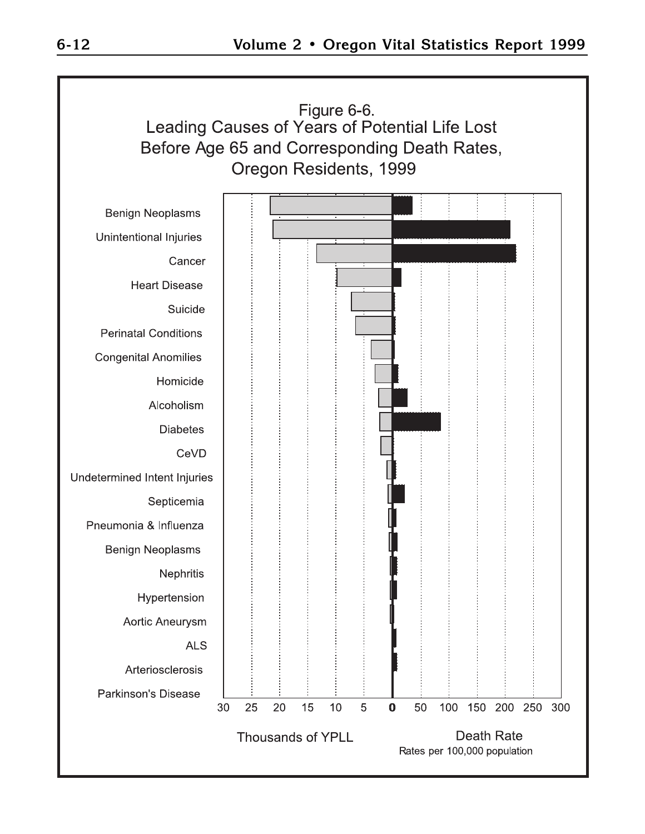